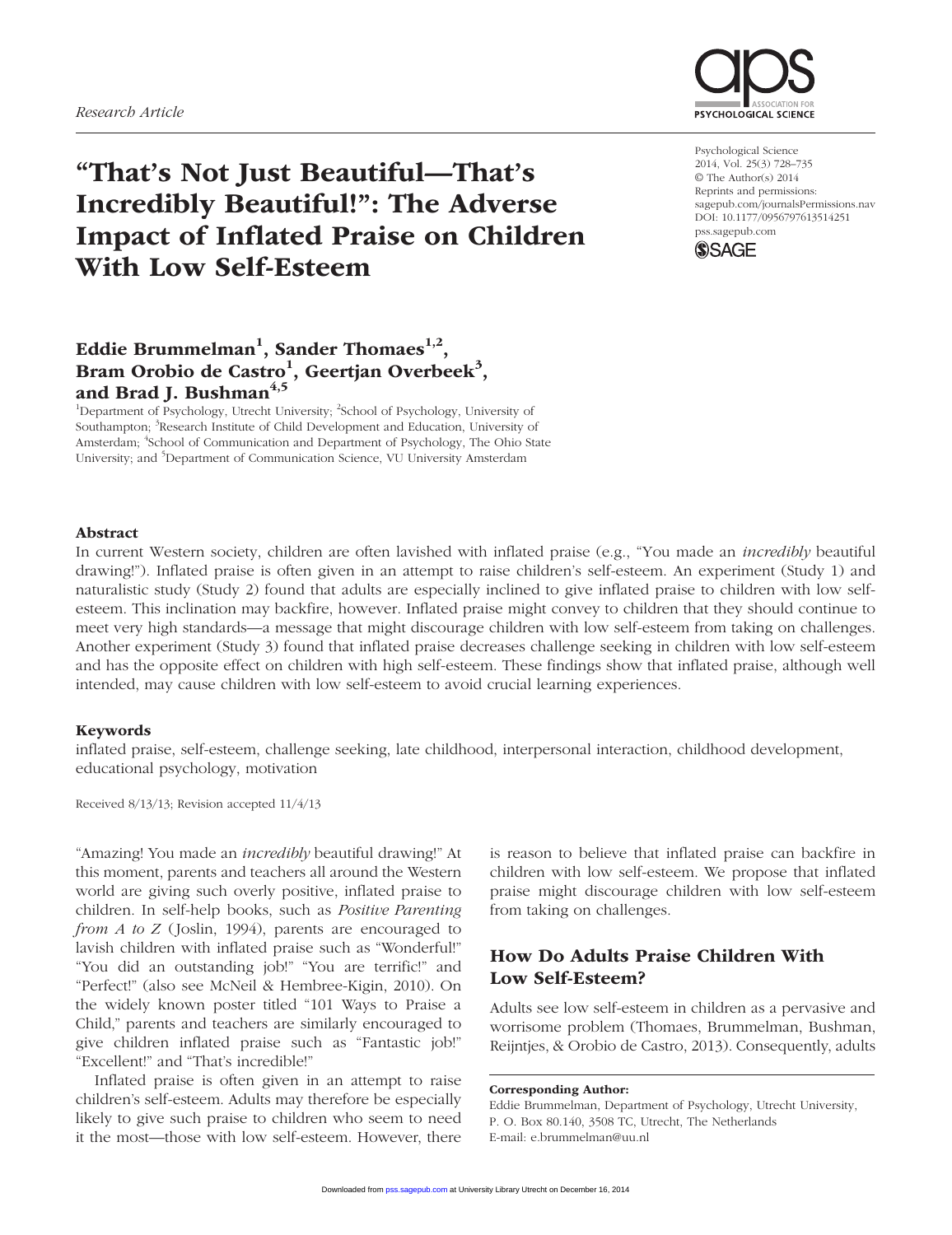

# "That's Not Just Beautiful—That's Incredibly Beautiful!": The Adverse Impact of Inflated Praise on Children With Low Self-Esteem

Psychological Science 2014, Vol. 25(3) 728–735 © The Author(s) 2014 Reprints and permissions: sagepub.com/journalsPermissions.nav DOI: 10.1177/0956797613514251 pss.sagepub.com



## Eddie Brummelman<sup>1</sup>, Sander Thomaes<sup>1,2</sup>, Bram Orobio de Castro<sup>1</sup>, Geertjan Overbeek<sup>3</sup>, and Brad J. Bushman $4,5$

<sup>1</sup>Department of Psychology, Utrecht University; <sup>2</sup>School of Psychology, University of Southampton; <sup>3</sup>Research Institute of Child Development and Education, University of Amsterdam; <sup>4</sup>School of Communication and Department of Psychology, The Ohio State University; and <sup>5</sup>Department of Communication Science, VU University Amsterdam

#### Abstract

In current Western society, children are often lavished with inflated praise (e.g., "You made an *incredibly* beautiful drawing!"). Inflated praise is often given in an attempt to raise children's self-esteem. An experiment (Study 1) and naturalistic study (Study 2) found that adults are especially inclined to give inflated praise to children with low selfesteem. This inclination may backfire, however. Inflated praise might convey to children that they should continue to meet very high standards—a message that might discourage children with low self-esteem from taking on challenges. Another experiment (Study 3) found that inflated praise decreases challenge seeking in children with low self-esteem and has the opposite effect on children with high self-esteem. These findings show that inflated praise, although well intended, may cause children with low self-esteem to avoid crucial learning experiences.

#### Keywords

inflated praise, self-esteem, challenge seeking, late childhood, interpersonal interaction, childhood development, educational psychology, motivation

Received 8/13/13; Revision accepted 11/4/13

"Amazing! You made an *incredibly* beautiful drawing!" At this moment, parents and teachers all around the Western world are giving such overly positive, inflated praise to children. In self-help books, such as *Positive Parenting from A to Z* (Joslin, 1994), parents are encouraged to lavish children with inflated praise such as "Wonderful!" "You did an outstanding job!" "You are terrific!" and "Perfect!" (also see McNeil & Hembree-Kigin, 2010). On the widely known poster titled "101 Ways to Praise a Child," parents and teachers are similarly encouraged to give children inflated praise such as "Fantastic job!" "Excellent!" and "That's incredible!"

Inflated praise is often given in an attempt to raise children's self-esteem. Adults may therefore be especially likely to give such praise to children who seem to need it the most—those with low self-esteem. However, there

is reason to believe that inflated praise can backfire in children with low self-esteem. We propose that inflated praise might discourage children with low self-esteem from taking on challenges.

## How Do Adults Praise Children With Low Self-Esteem?

Adults see low self-esteem in children as a pervasive and worrisome problem (Thomaes, Brummelman, Bushman, Reijntjes, & Orobio de Castro, 2013). Consequently, adults

#### Corresponding Author:

Eddie Brummelman, Department of Psychology, Utrecht University, P. O. Box 80.140, 3508 TC, Utrecht, The Netherlands E-mail: e.brummelman@uu.nl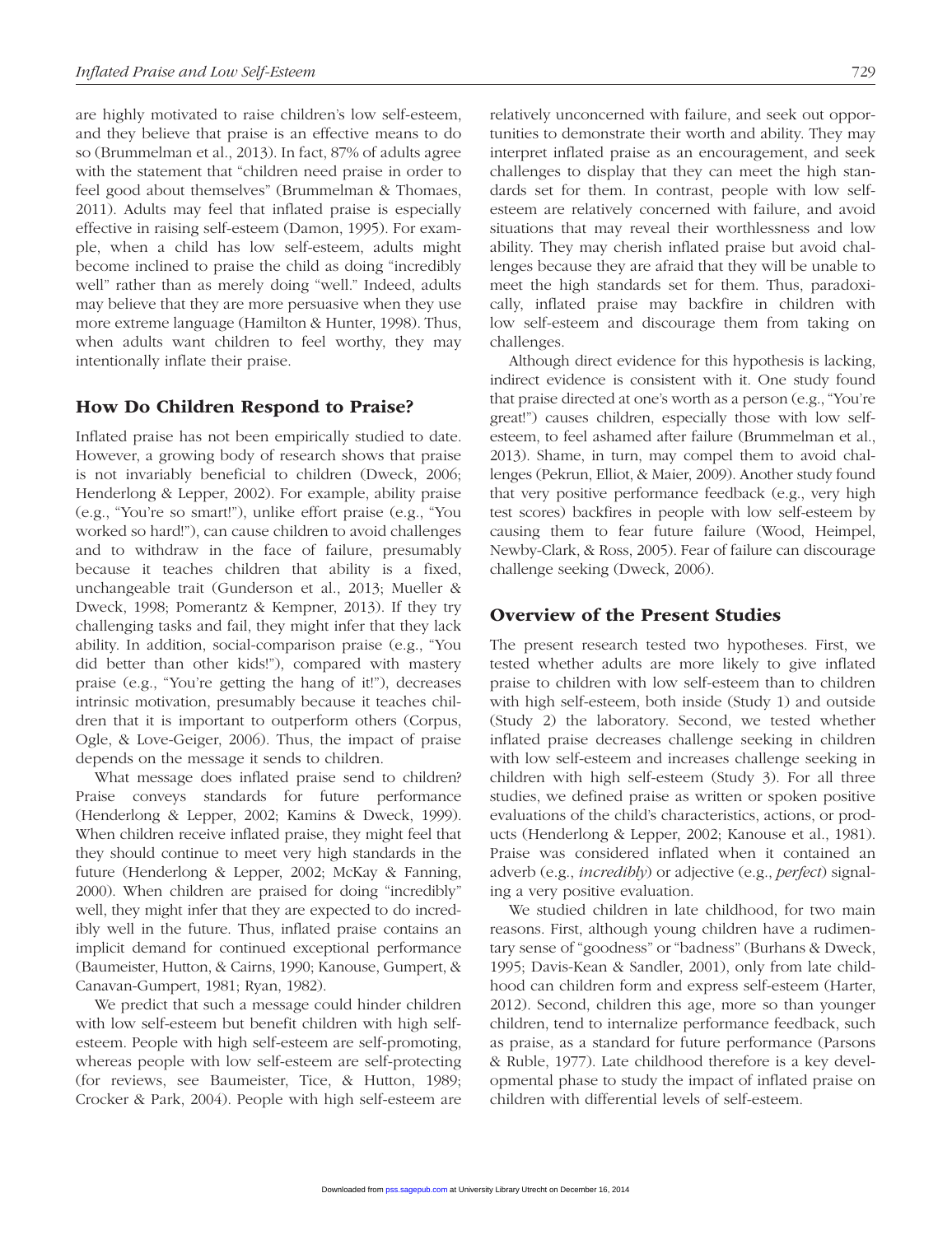are highly motivated to raise children's low self-esteem, and they believe that praise is an effective means to do so (Brummelman et al., 2013). In fact, 87% of adults agree with the statement that "children need praise in order to feel good about themselves" (Brummelman & Thomaes, 2011). Adults may feel that inflated praise is especially effective in raising self-esteem (Damon, 1995). For example, when a child has low self-esteem, adults might become inclined to praise the child as doing "incredibly well" rather than as merely doing "well." Indeed, adults may believe that they are more persuasive when they use more extreme language (Hamilton & Hunter, 1998). Thus, when adults want children to feel worthy, they may intentionally inflate their praise.

## How Do Children Respond to Praise?

Inflated praise has not been empirically studied to date. However, a growing body of research shows that praise is not invariably beneficial to children (Dweck, 2006; Henderlong & Lepper, 2002). For example, ability praise (e.g., "You're so smart!"), unlike effort praise (e.g., "You worked so hard!"), can cause children to avoid challenges and to withdraw in the face of failure, presumably because it teaches children that ability is a fixed, unchangeable trait (Gunderson et al., 2013; Mueller & Dweck, 1998; Pomerantz & Kempner, 2013). If they try challenging tasks and fail, they might infer that they lack ability. In addition, social-comparison praise (e.g., "You did better than other kids!"), compared with mastery praise (e.g., "You're getting the hang of it!"), decreases intrinsic motivation, presumably because it teaches children that it is important to outperform others (Corpus, Ogle, & Love-Geiger, 2006). Thus, the impact of praise depends on the message it sends to children.

What message does inflated praise send to children? Praise conveys standards for future performance (Henderlong & Lepper, 2002; Kamins & Dweck, 1999). When children receive inflated praise, they might feel that they should continue to meet very high standards in the future (Henderlong & Lepper, 2002; McKay & Fanning, 2000). When children are praised for doing "incredibly" well, they might infer that they are expected to do incredibly well in the future. Thus, inflated praise contains an implicit demand for continued exceptional performance (Baumeister, Hutton, & Cairns, 1990; Kanouse, Gumpert, & Canavan-Gumpert, 1981; Ryan, 1982).

We predict that such a message could hinder children with low self-esteem but benefit children with high selfesteem. People with high self-esteem are self-promoting, whereas people with low self-esteem are self-protecting (for reviews, see Baumeister, Tice, & Hutton, 1989; Crocker & Park, 2004). People with high self-esteem are relatively unconcerned with failure, and seek out opportunities to demonstrate their worth and ability. They may interpret inflated praise as an encouragement, and seek challenges to display that they can meet the high standards set for them. In contrast, people with low selfesteem are relatively concerned with failure, and avoid situations that may reveal their worthlessness and low ability. They may cherish inflated praise but avoid chal-

lenges because they are afraid that they will be unable to meet the high standards set for them. Thus, paradoxically, inflated praise may backfire in children with low self-esteem and discourage them from taking on challenges.

Although direct evidence for this hypothesis is lacking, indirect evidence is consistent with it. One study found that praise directed at one's worth as a person (e.g., "You're great!") causes children, especially those with low selfesteem, to feel ashamed after failure (Brummelman et al., 2013). Shame, in turn, may compel them to avoid challenges (Pekrun, Elliot, & Maier, 2009). Another study found that very positive performance feedback (e.g., very high test scores) backfires in people with low self-esteem by causing them to fear future failure (Wood, Heimpel, Newby-Clark, & Ross, 2005). Fear of failure can discourage challenge seeking (Dweck, 2006).

## Overview of the Present Studies

The present research tested two hypotheses. First, we tested whether adults are more likely to give inflated praise to children with low self-esteem than to children with high self-esteem, both inside (Study 1) and outside (Study 2) the laboratory. Second, we tested whether inflated praise decreases challenge seeking in children with low self-esteem and increases challenge seeking in children with high self-esteem (Study 3). For all three studies, we defined praise as written or spoken positive evaluations of the child's characteristics, actions, or products (Henderlong & Lepper, 2002; Kanouse et al., 1981). Praise was considered inflated when it contained an adverb (e.g., *incredibly*) or adjective (e.g., *perfect*) signaling a very positive evaluation.

We studied children in late childhood, for two main reasons. First, although young children have a rudimentary sense of "goodness" or "badness" (Burhans & Dweck, 1995; Davis-Kean & Sandler, 2001), only from late childhood can children form and express self-esteem (Harter, 2012). Second, children this age, more so than younger children, tend to internalize performance feedback, such as praise, as a standard for future performance (Parsons & Ruble, 1977). Late childhood therefore is a key developmental phase to study the impact of inflated praise on children with differential levels of self-esteem.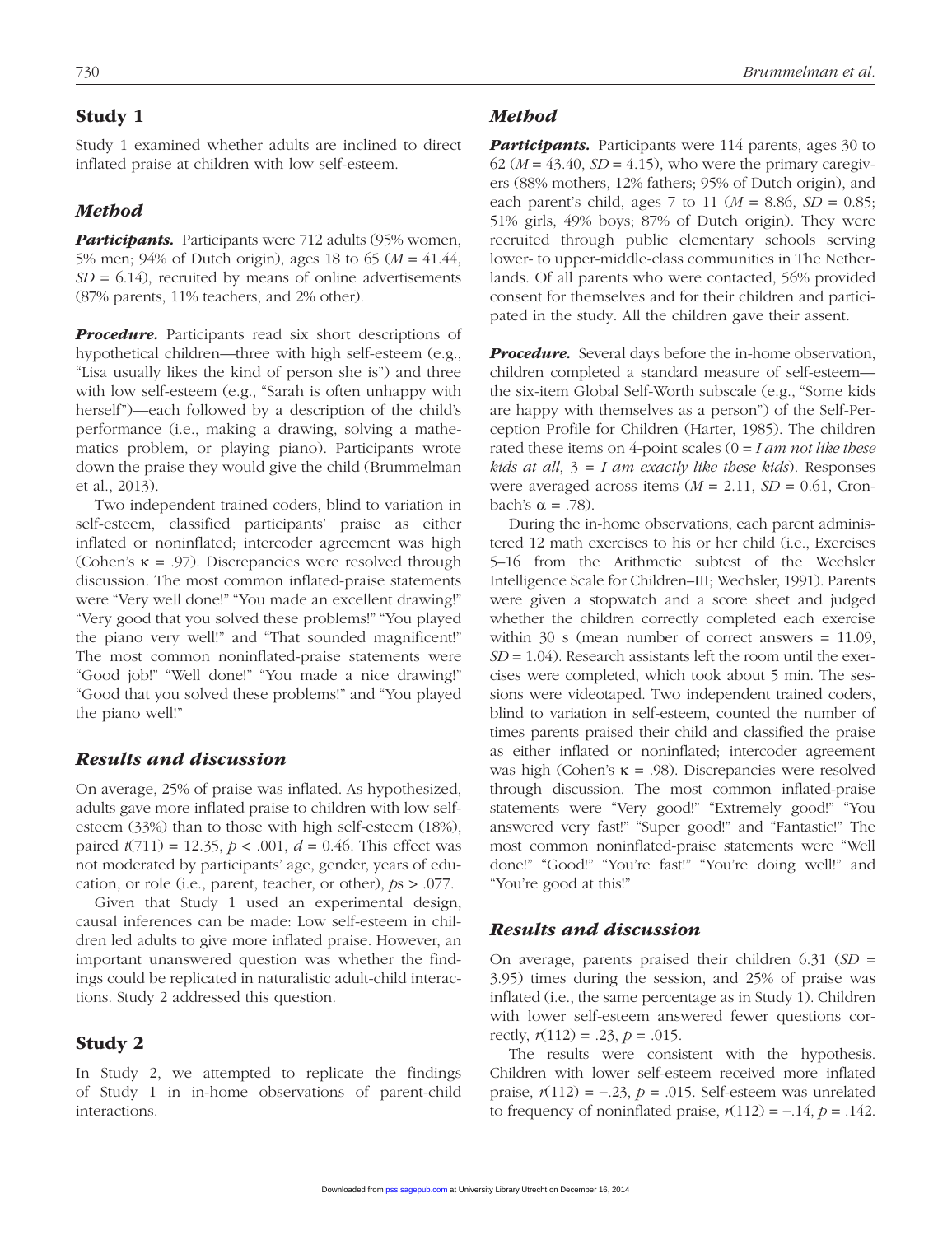## Study 1

Study 1 examined whether adults are inclined to direct inflated praise at children with low self-esteem.

#### *Method*

**Participants.** Participants were 712 adults (95% women, 5% men; 94% of Dutch origin), ages 18 to 65 (*M* = 41.44,  $SD = 6.14$ , recruited by means of online advertisements (87% parents, 11% teachers, and 2% other).

**Procedure.** Participants read six short descriptions of hypothetical children—three with high self-esteem (e.g., "Lisa usually likes the kind of person she is") and three with low self-esteem (e.g., "Sarah is often unhappy with herself")—each followed by a description of the child's performance (i.e., making a drawing, solving a mathematics problem, or playing piano). Participants wrote down the praise they would give the child (Brummelman et al., 2013).

Two independent trained coders, blind to variation in self-esteem, classified participants' praise as either inflated or noninflated; intercoder agreement was high (Cohen's  $\kappa = .97$ ). Discrepancies were resolved through discussion. The most common inflated-praise statements were "Very well done!" "You made an excellent drawing!" "Very good that you solved these problems!" "You played the piano very well!" and "That sounded magnificent!" The most common noninflated-praise statements were "Good job!" "Well done!" "You made a nice drawing!" "Good that you solved these problems!" and "You played the piano well!"

## *Results and discussion*

On average, 25% of praise was inflated. As hypothesized, adults gave more inflated praise to children with low selfesteem (33%) than to those with high self-esteem (18%), paired *t*(711) = 12.35, *p* < .001, *d* = 0.46. This effect was not moderated by participants' age, gender, years of education, or role (i.e., parent, teacher, or other), *p*s > .077.

Given that Study 1 used an experimental design, causal inferences can be made: Low self-esteem in children led adults to give more inflated praise. However, an important unanswered question was whether the findings could be replicated in naturalistic adult-child interactions. Study 2 addressed this question.

#### Study 2

In Study 2, we attempted to replicate the findings of Study 1 in in-home observations of parent-child interactions.

#### *Method*

**Participants.** Participants were 114 parents, ages 30 to  $62 (M = 43.40, SD = 4.15)$ , who were the primary caregivers (88% mothers, 12% fathers; 95% of Dutch origin), and each parent's child, ages 7 to 11 ( $M = 8.86$ ,  $SD = 0.85$ ; 51% girls, 49% boys; 87% of Dutch origin). They were recruited through public elementary schools serving lower- to upper-middle-class communities in The Netherlands. Of all parents who were contacted, 56% provided consent for themselves and for their children and participated in the study. All the children gave their assent.

*Procedure.* Several days before the in-home observation, children completed a standard measure of self-esteem the six-item Global Self-Worth subscale (e.g., "Some kids are happy with themselves as a person") of the Self-Perception Profile for Children (Harter, 1985). The children rated these items on 4-point scales (0 = *I am not like these kids at all*, 3 = *I am exactly like these kids*). Responses were averaged across items  $(M = 2.11, SD = 0.61, Cron$ bach's α = .78).

During the in-home observations, each parent administered 12 math exercises to his or her child (i.e., Exercises 5–16 from the Arithmetic subtest of the Wechsler Intelligence Scale for Children–III; Wechsler, 1991). Parents were given a stopwatch and a score sheet and judged whether the children correctly completed each exercise within 30 s (mean number of correct answers = 11.09, *SD* = 1.04). Research assistants left the room until the exercises were completed, which took about 5 min. The sessions were videotaped. Two independent trained coders, blind to variation in self-esteem, counted the number of times parents praised their child and classified the praise as either inflated or noninflated; intercoder agreement was high (Cohen's κ = .98). Discrepancies were resolved through discussion. The most common inflated-praise statements were "Very good!" "Extremely good!" "You answered very fast!" "Super good!" and "Fantastic!" The most common noninflated-praise statements were "Well done!" "Good!" "You're fast!" "You're doing well!" and "You're good at this!"

## *Results and discussion*

On average, parents praised their children 6.31 (*SD* = 3.95) times during the session, and 25% of praise was inflated (i.e., the same percentage as in Study 1). Children with lower self-esteem answered fewer questions correctly,  $r(112) = .23$ ,  $p = .015$ .

The results were consistent with the hypothesis. Children with lower self-esteem received more inflated praise,  $r(112) = -.23$ ,  $p = .015$ . Self-esteem was unrelated to frequency of noninflated praise,  $r(112) = -0.14$ ,  $p = 0.142$ .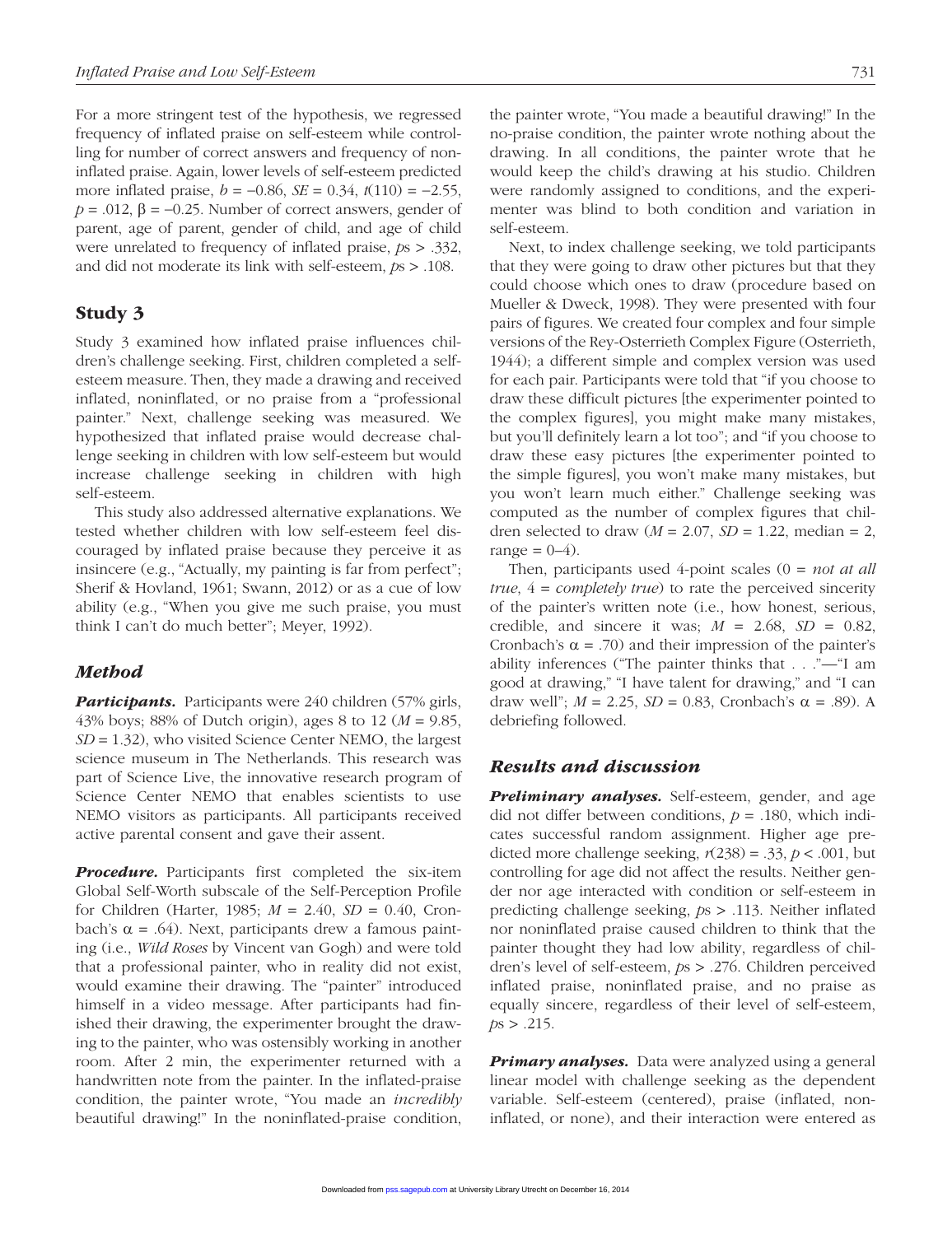For a more stringent test of the hypothesis, we regressed frequency of inflated praise on self-esteem while controlling for number of correct answers and frequency of noninflated praise. Again, lower levels of self-esteem predicted more inflated praise, *b* = −0.86, *SE* = 0.34, *t*(110) = −2.55,  $p = .012$ ,  $\beta = -0.25$ . Number of correct answers, gender of parent, age of parent, gender of child, and age of child were unrelated to frequency of inflated praise, *p*s > .332, and did not moderate its link with self-esteem, *p*s > .108.

## Study 3

Study 3 examined how inflated praise influences children's challenge seeking. First, children completed a selfesteem measure. Then, they made a drawing and received inflated, noninflated, or no praise from a "professional painter." Next, challenge seeking was measured. We hypothesized that inflated praise would decrease challenge seeking in children with low self-esteem but would increase challenge seeking in children with high self-esteem.

This study also addressed alternative explanations. We tested whether children with low self-esteem feel discouraged by inflated praise because they perceive it as insincere (e.g., "Actually, my painting is far from perfect"; Sherif & Hovland, 1961; Swann, 2012) or as a cue of low ability (e.g., "When you give me such praise, you must think I can't do much better"; Meyer, 1992).

## *Method*

**Participants.** Participants were 240 children (57% girls, 43% boys; 88% of Dutch origin), ages 8 to 12 (*M* = 9.85, *SD* = 1.32), who visited Science Center NEMO, the largest science museum in The Netherlands. This research was part of Science Live, the innovative research program of Science Center NEMO that enables scientists to use NEMO visitors as participants. All participants received active parental consent and gave their assent.

*Procedure.* Participants first completed the six-item Global Self-Worth subscale of the Self-Perception Profile for Children (Harter, 1985; *M* = 2.40, *SD* = 0.40, Cronbach's α = .64). Next, participants drew a famous painting (i.e., *Wild Roses* by Vincent van Gogh) and were told that a professional painter, who in reality did not exist, would examine their drawing. The "painter" introduced himself in a video message. After participants had finished their drawing, the experimenter brought the drawing to the painter, who was ostensibly working in another room. After 2 min, the experimenter returned with a handwritten note from the painter. In the inflated-praise condition, the painter wrote, "You made an *incredibly* beautiful drawing!" In the noninflated-praise condition, the painter wrote, "You made a beautiful drawing!" In the no-praise condition, the painter wrote nothing about the drawing. In all conditions, the painter wrote that he would keep the child's drawing at his studio. Children were randomly assigned to conditions, and the experimenter was blind to both condition and variation in self-esteem.

Next, to index challenge seeking, we told participants that they were going to draw other pictures but that they could choose which ones to draw (procedure based on Mueller & Dweck, 1998). They were presented with four pairs of figures. We created four complex and four simple versions of the Rey-Osterrieth Complex Figure (Osterrieth, 1944); a different simple and complex version was used for each pair. Participants were told that "if you choose to draw these difficult pictures [the experimenter pointed to the complex figures], you might make many mistakes, but you'll definitely learn a lot too"; and "if you choose to draw these easy pictures [the experimenter pointed to the simple figures], you won't make many mistakes, but you won't learn much either." Challenge seeking was computed as the number of complex figures that children selected to draw  $(M = 2.07, SD = 1.22, median = 2,$ range  $= 0-4$ ).

Then, participants used 4-point scales (0 = *not at all true*, 4 = *completely true*) to rate the perceived sincerity of the painter's written note (i.e., how honest, serious, credible, and sincere it was;  $M = 2.68$ ,  $SD = 0.82$ , Cronbach's  $\alpha$  = .70) and their impression of the painter's ability inferences ("The painter thinks that . . ."—"I am good at drawing," "I have talent for drawing," and "I can draw well";  $M = 2.25$ ,  $SD = 0.83$ , Cronbach's  $\alpha = .89$ ). A debriefing followed.

## *Results and discussion*

*Preliminary analyses.* Self-esteem, gender, and age did not differ between conditions, *p* = .180, which indicates successful random assignment. Higher age predicted more challenge seeking,  $r(238) = .33$ ,  $p < .001$ , but controlling for age did not affect the results. Neither gender nor age interacted with condition or self-esteem in predicting challenge seeking, *p*s > .113. Neither inflated nor noninflated praise caused children to think that the painter thought they had low ability, regardless of children's level of self-esteem, *p*s > .276. Children perceived inflated praise, noninflated praise, and no praise as equally sincere, regardless of their level of self-esteem,  $ps > .215$ .

*Primary analyses.* Data were analyzed using a general linear model with challenge seeking as the dependent variable. Self-esteem (centered), praise (inflated, noninflated, or none), and their interaction were entered as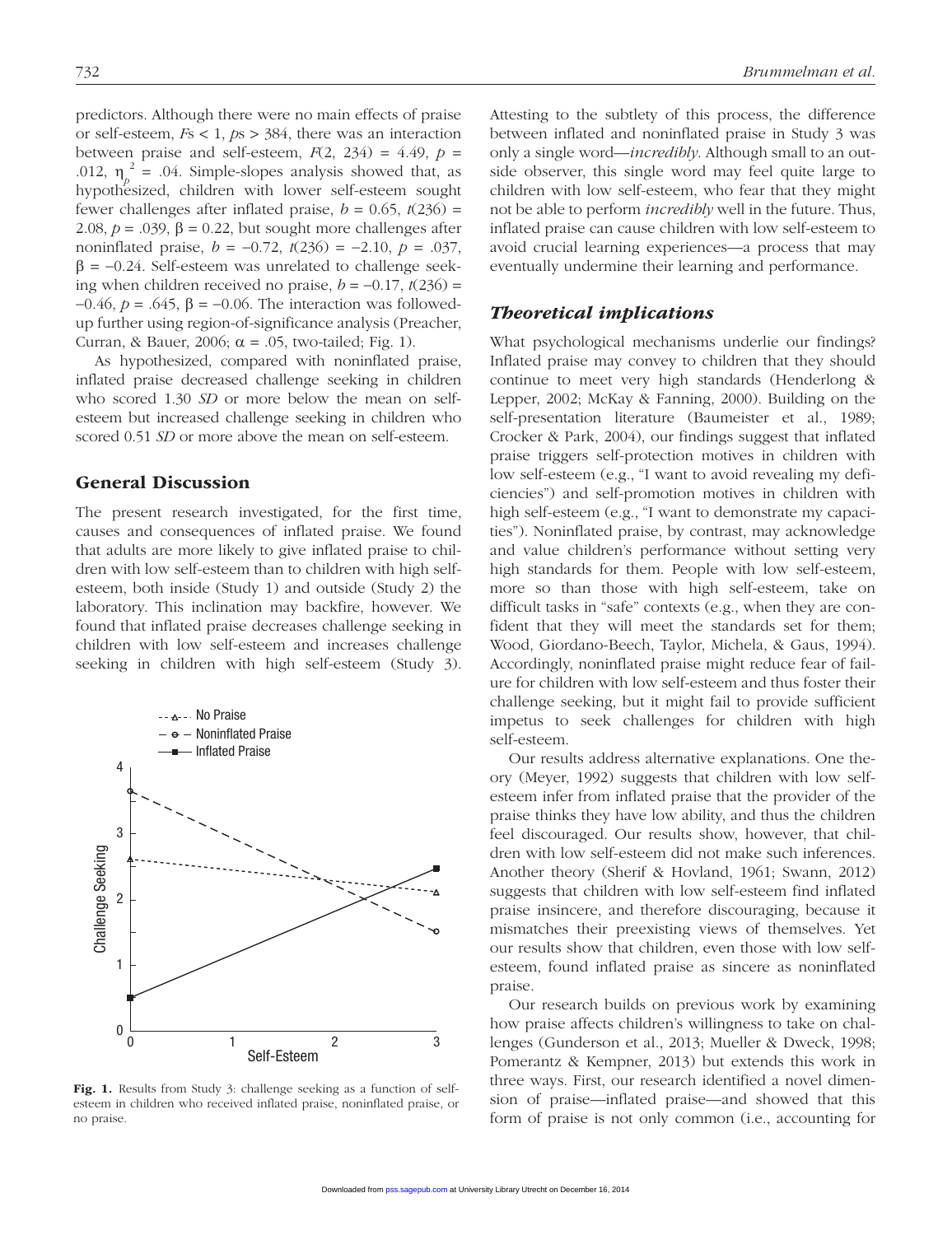predictors. Although there were no main effects of praise or self-esteem, *F*s < 1, *p*s > 384, there was an interaction between praise and self-esteem,  $F(2, 234) = 4.49$ ,  $p =$ .012,  $\eta_p^2 = .04$ . Simple-slopes analysis showed that, as hypothesized, children with lower self-esteem sought fewer challenges after inflated praise,  $b = 0.65$ ,  $t(236) =$ 2.08,  $p = .039$ ,  $\beta = 0.22$ , but sought more challenges after noninflated praise, *b* = −0.72, *t*(236) = −2.10, *p* = .037,  $\beta$  = -0.24. Self-esteem was unrelated to challenge seeking when children received no praise,  $b = -0.17$ ,  $t(236) =$ −0.46, *p* = .645, β = −0.06. The interaction was followedup further using region-of-significance analysis (Preacher, Curran, & Bauer, 2006;  $\alpha = .05$ , two-tailed; Fig. 1).

As hypothesized, compared with noninflated praise, inflated praise decreased challenge seeking in children who scored 1.30 *SD* or more below the mean on selfesteem but increased challenge seeking in children who scored 0.51 *SD* or more above the mean on self-esteem.

## General Discussion

The present research investigated, for the first time, causes and consequences of inflated praise. We found that adults are more likely to give inflated praise to children with low self-esteem than to children with high selfesteem, both inside (Study 1) and outside (Study 2) the laboratory. This inclination may backfire, however. We found that inflated praise decreases challenge seeking in children with low self-esteem and increases challenge seeking in children with high self-esteem (Study 3).



Fig. 1. Results from Study 3: challenge seeking as a function of selfesteem in children who received inflated praise, noninflated praise, or no praise.

Attesting to the subtlety of this process, the difference between inflated and noninflated praise in Study 3 was only a single word—*incredibly*. Although small to an outside observer, this single word may feel quite large to children with low self-esteem, who fear that they might not be able to perform *incredibly* well in the future. Thus, inflated praise can cause children with low self-esteem to avoid crucial learning experiences—a process that may eventually undermine their learning and performance.

#### *Theoretical implications*

What psychological mechanisms underlie our findings? Inflated praise may convey to children that they should continue to meet very high standards (Henderlong & Lepper, 2002; McKay & Fanning, 2000). Building on the self-presentation literature (Baumeister et al., 1989; Crocker & Park, 2004), our findings suggest that inflated praise triggers self-protection motives in children with low self-esteem (e.g., "I want to avoid revealing my deficiencies") and self-promotion motives in children with high self-esteem (e.g., "I want to demonstrate my capacities"). Noninflated praise, by contrast, may acknowledge and value children's performance without setting very high standards for them. People with low self-esteem, more so than those with high self-esteem, take on difficult tasks in "safe" contexts (e.g., when they are confident that they will meet the standards set for them; Wood, Giordano-Beech, Taylor, Michela, & Gaus, 1994). Accordingly, noninflated praise might reduce fear of failure for children with low self-esteem and thus foster their challenge seeking, but it might fail to provide sufficient impetus to seek challenges for children with high self-esteem.

Our results address alternative explanations. One theory (Meyer, 1992) suggests that children with low selfesteem infer from inflated praise that the provider of the praise thinks they have low ability, and thus the children feel discouraged. Our results show, however, that children with low self-esteem did not make such inferences. Another theory (Sherif & Hovland, 1961; Swann, 2012) suggests that children with low self-esteem find inflated praise insincere, and therefore discouraging, because it mismatches their preexisting views of themselves. Yet our results show that children, even those with low selfesteem, found inflated praise as sincere as noninflated praise.

Our research builds on previous work by examining how praise affects children's willingness to take on challenges (Gunderson et al., 2013; Mueller & Dweck, 1998; Pomerantz & Kempner, 2013) but extends this work in three ways. First, our research identified a novel dimension of praise—inflated praise—and showed that this form of praise is not only common (i.e., accounting for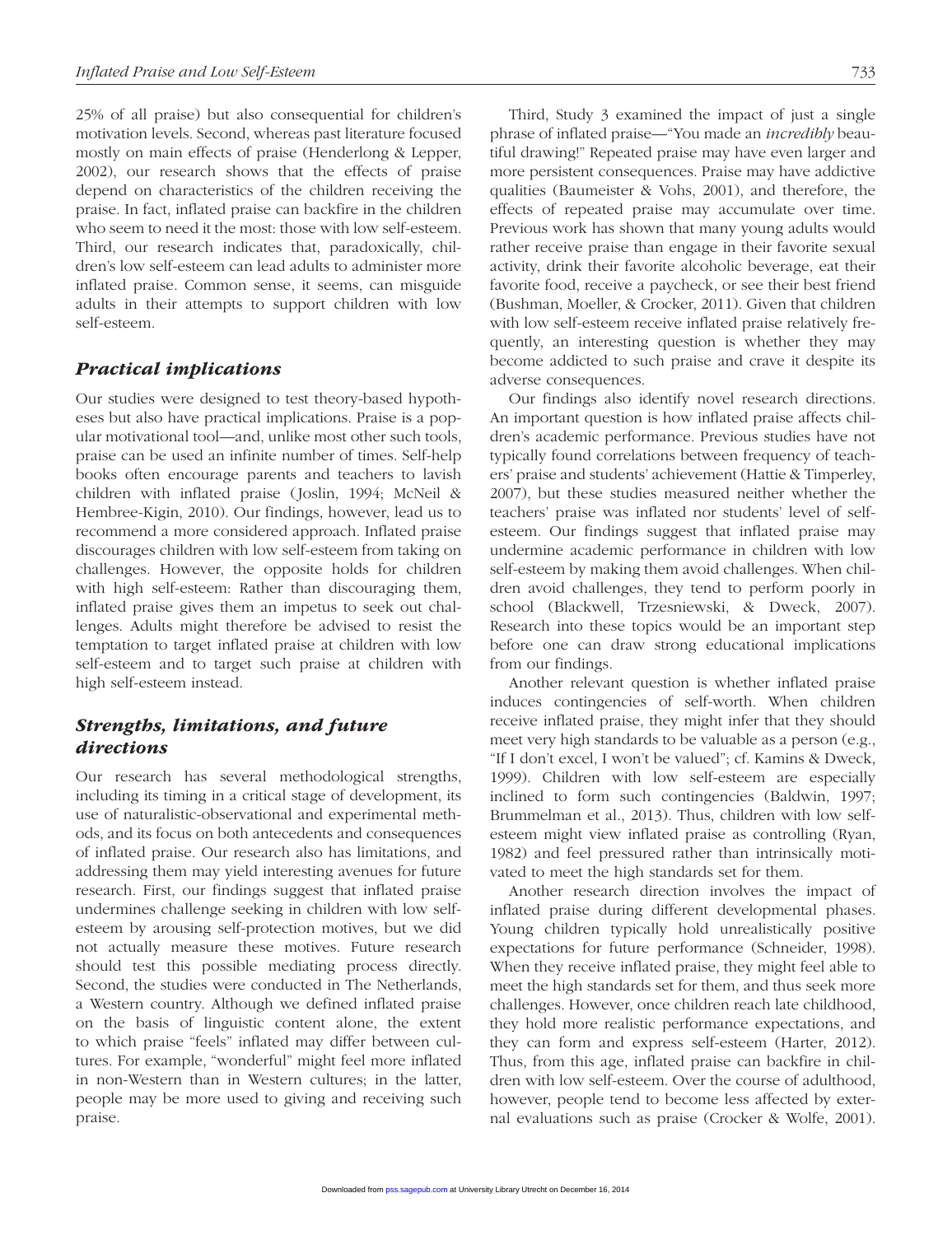25% of all praise) but also consequential for children's motivation levels. Second, whereas past literature focused mostly on main effects of praise (Henderlong & Lepper, 2002), our research shows that the effects of praise depend on characteristics of the children receiving the praise. In fact, inflated praise can backfire in the children who seem to need it the most: those with low self-esteem. Third, our research indicates that, paradoxically, children's low self-esteem can lead adults to administer more inflated praise. Common sense, it seems, can misguide adults in their attempts to support children with low self-esteem.

#### *Practical implications*

Our studies were designed to test theory-based hypotheses but also have practical implications. Praise is a popular motivational tool—and, unlike most other such tools, praise can be used an infinite number of times. Self-help books often encourage parents and teachers to lavish children with inflated praise (Joslin, 1994; McNeil & Hembree-Kigin, 2010). Our findings, however, lead us to recommend a more considered approach. Inflated praise discourages children with low self-esteem from taking on challenges. However, the opposite holds for children with high self-esteem: Rather than discouraging them, inflated praise gives them an impetus to seek out challenges. Adults might therefore be advised to resist the temptation to target inflated praise at children with low self-esteem and to target such praise at children with high self-esteem instead.

## *Strengths, limitations, and future directions*

Our research has several methodological strengths, including its timing in a critical stage of development, its use of naturalistic-observational and experimental methods, and its focus on both antecedents and consequences of inflated praise. Our research also has limitations, and addressing them may yield interesting avenues for future research. First, our findings suggest that inflated praise undermines challenge seeking in children with low selfesteem by arousing self-protection motives, but we did not actually measure these motives. Future research should test this possible mediating process directly. Second, the studies were conducted in The Netherlands, a Western country. Although we defined inflated praise on the basis of linguistic content alone, the extent to which praise "feels" inflated may differ between cultures. For example, "wonderful" might feel more inflated in non-Western than in Western cultures; in the latter, people may be more used to giving and receiving such praise.

Third, Study 3 examined the impact of just a single phrase of inflated praise—"You made an *incredibly* beautiful drawing!" Repeated praise may have even larger and more persistent consequences. Praise may have addictive qualities (Baumeister & Vohs, 2001), and therefore, the effects of repeated praise may accumulate over time. Previous work has shown that many young adults would rather receive praise than engage in their favorite sexual activity, drink their favorite alcoholic beverage, eat their favorite food, receive a paycheck, or see their best friend (Bushman, Moeller, & Crocker, 2011). Given that children with low self-esteem receive inflated praise relatively frequently, an interesting question is whether they may become addicted to such praise and crave it despite its adverse consequences.

Our findings also identify novel research directions. An important question is how inflated praise affects children's academic performance. Previous studies have not typically found correlations between frequency of teachers' praise and students' achievement (Hattie & Timperley, 2007), but these studies measured neither whether the teachers' praise was inflated nor students' level of selfesteem. Our findings suggest that inflated praise may undermine academic performance in children with low self-esteem by making them avoid challenges. When children avoid challenges, they tend to perform poorly in school (Blackwell, Trzesniewski, & Dweck, 2007). Research into these topics would be an important step before one can draw strong educational implications from our findings.

Another relevant question is whether inflated praise induces contingencies of self-worth. When children receive inflated praise, they might infer that they should meet very high standards to be valuable as a person (e.g., "If I don't excel, I won't be valued"; cf. Kamins & Dweck, 1999). Children with low self-esteem are especially inclined to form such contingencies (Baldwin, 1997; Brummelman et al., 2013). Thus, children with low selfesteem might view inflated praise as controlling (Ryan, 1982) and feel pressured rather than intrinsically motivated to meet the high standards set for them.

Another research direction involves the impact of inflated praise during different developmental phases. Young children typically hold unrealistically positive expectations for future performance (Schneider, 1998). When they receive inflated praise, they might feel able to meet the high standards set for them, and thus seek more challenges. However, once children reach late childhood, they hold more realistic performance expectations, and they can form and express self-esteem (Harter, 2012). Thus, from this age, inflated praise can backfire in children with low self-esteem. Over the course of adulthood, however, people tend to become less affected by external evaluations such as praise (Crocker & Wolfe, 2001).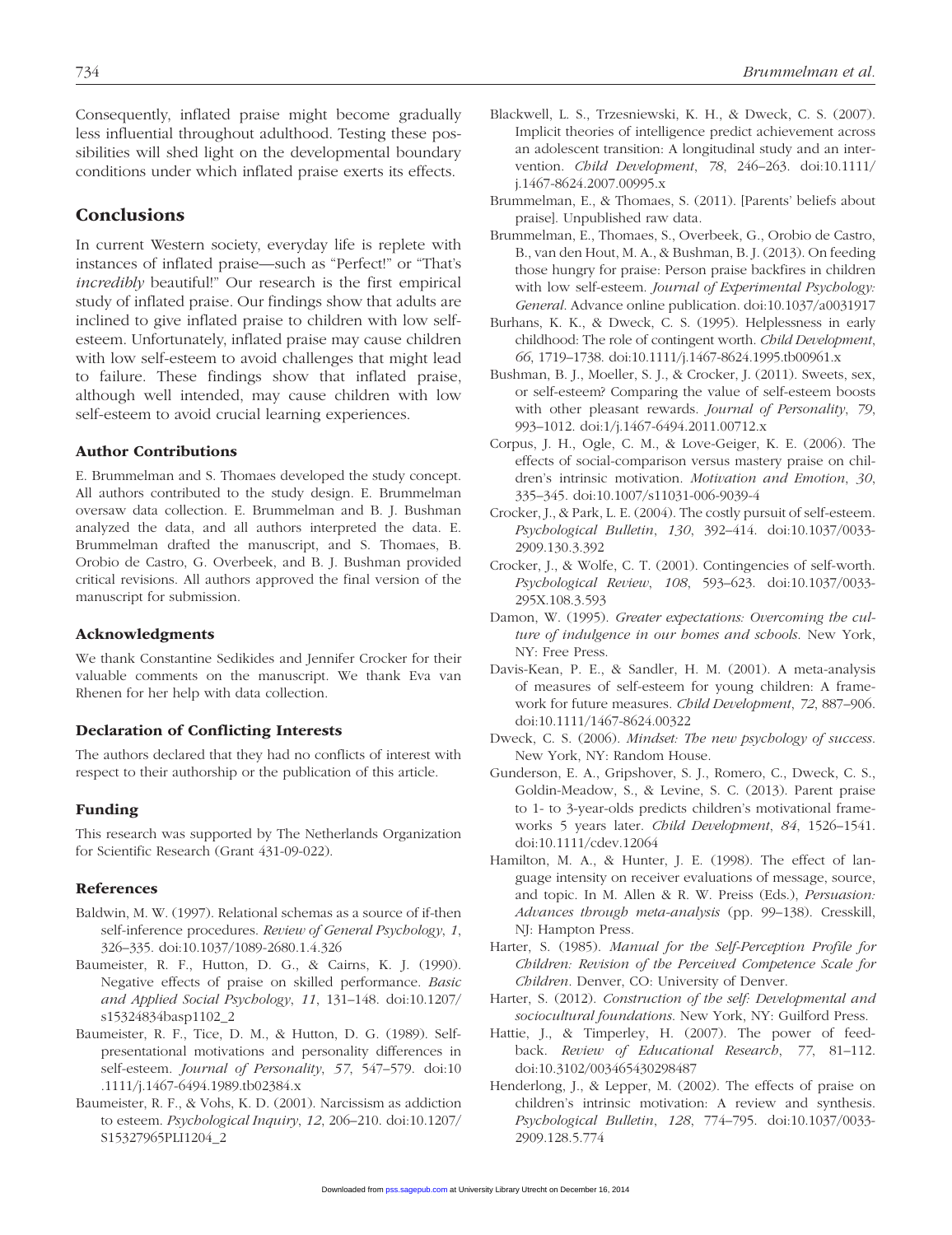Consequently, inflated praise might become gradually less influential throughout adulthood. Testing these possibilities will shed light on the developmental boundary conditions under which inflated praise exerts its effects.

## **Conclusions**

In current Western society, everyday life is replete with instances of inflated praise—such as "Perfect!" or "That's *incredibly* beautiful!" Our research is the first empirical study of inflated praise. Our findings show that adults are inclined to give inflated praise to children with low selfesteem. Unfortunately, inflated praise may cause children with low self-esteem to avoid challenges that might lead to failure. These findings show that inflated praise, although well intended, may cause children with low self-esteem to avoid crucial learning experiences.

#### Author Contributions

E. Brummelman and S. Thomaes developed the study concept. All authors contributed to the study design. E. Brummelman oversaw data collection. E. Brummelman and B. J. Bushman analyzed the data, and all authors interpreted the data. E. Brummelman drafted the manuscript, and S. Thomaes, B. Orobio de Castro, G. Overbeek, and B. J. Bushman provided critical revisions. All authors approved the final version of the manuscript for submission.

#### Acknowledgments

We thank Constantine Sedikides and Jennifer Crocker for their valuable comments on the manuscript. We thank Eva van Rhenen for her help with data collection.

#### Declaration of Conflicting Interests

The authors declared that they had no conflicts of interest with respect to their authorship or the publication of this article.

#### Funding

This research was supported by The Netherlands Organization for Scientific Research (Grant 431-09-022).

#### References

- Baldwin, M. W. (1997). Relational schemas as a source of if-then self-inference procedures. *Review of General Psychology*, *1*, 326–335. doi:10.1037/1089-2680.1.4.326
- Baumeister, R. F., Hutton, D. G., & Cairns, K. J. (1990). Negative effects of praise on skilled performance. *Basic and Applied Social Psychology*, *11*, 131–148. doi:10.1207/ s15324834basp1102\_2
- Baumeister, R. F., Tice, D. M., & Hutton, D. G. (1989). Selfpresentational motivations and personality differences in self-esteem. *Journal of Personality*, *57*, 547–579. doi:10 .1111/j.1467-6494.1989.tb02384.x
- Baumeister, R. F., & Vohs, K. D. (2001). Narcissism as addiction to esteem. *Psychological Inquiry*, *12*, 206–210. doi:10.1207/ S15327965PLI1204\_2
- Blackwell, L. S., Trzesniewski, K. H., & Dweck, C. S. (2007). Implicit theories of intelligence predict achievement across an adolescent transition: A longitudinal study and an intervention. *Child Development*, *78*, 246–263. doi:10.1111/ j.1467-8624.2007.00995.x
- Brummelman, E., & Thomaes, S. (2011). [Parents' beliefs about praise]. Unpublished raw data.
- Brummelman, E., Thomaes, S., Overbeek, G., Orobio de Castro, B., van den Hout, M. A., & Bushman, B. J. (2013). On feeding those hungry for praise: Person praise backfires in children with low self-esteem. *Journal of Experimental Psychology: General*. Advance online publication. doi:10.1037/a0031917
- Burhans, K. K., & Dweck, C. S. (1995). Helplessness in early childhood: The role of contingent worth. *Child Development*, *66*, 1719–1738. doi:10.1111/j.1467-8624.1995.tb00961.x
- Bushman, B. J., Moeller, S. J., & Crocker, J. (2011). Sweets, sex, or self-esteem? Comparing the value of self-esteem boosts with other pleasant rewards. *Journal of Personality*, *79*, 993–1012. doi:1/j.1467-6494.2011.00712.x
- Corpus, J. H., Ogle, C. M., & Love-Geiger, K. E. (2006). The effects of social-comparison versus mastery praise on children's intrinsic motivation. *Motivation and Emotion*, *30*, 335–345. doi:10.1007/s11031-006-9039-4
- Crocker, J., & Park, L. E. (2004). The costly pursuit of self-esteem. *Psychological Bulletin*, *130*, 392–414. doi:10.1037/0033- 2909.130.3.392
- Crocker, J., & Wolfe, C. T. (2001). Contingencies of self-worth. *Psychological Review*, *108*, 593–623. doi:10.1037/0033- 295X.108.3.593
- Damon, W. (1995). *Greater expectations: Overcoming the culture of indulgence in our homes and schools*. New York, NY: Free Press.
- Davis-Kean, P. E., & Sandler, H. M. (2001). A meta-analysis of measures of self-esteem for young children: A framework for future measures. *Child Development*, *72*, 887–906. doi:10.1111/1467-8624.00322
- Dweck, C. S. (2006). *Mindset: The new psychology of success*. New York, NY: Random House.
- Gunderson, E. A., Gripshover, S. J., Romero, C., Dweck, C. S., Goldin-Meadow, S., & Levine, S. C. (2013). Parent praise to 1- to 3-year-olds predicts children's motivational frameworks 5 years later. *Child Development*, *84*, 1526–1541. doi:10.1111/cdev.12064
- Hamilton, M. A., & Hunter, J. E. (1998). The effect of language intensity on receiver evaluations of message, source, and topic. In M. Allen & R. W. Preiss (Eds.), *Persuasion: Advances through meta-analysis* (pp. 99–138). Cresskill, NJ: Hampton Press.
- Harter, S. (1985). *Manual for the Self-Perception Profile for Children: Revision of the Perceived Competence Scale for Children*. Denver, CO: University of Denver.
- Harter, S. (2012). *Construction of the self: Developmental and sociocultural foundations*. New York, NY: Guilford Press.
- Hattie, J., & Timperley, H. (2007). The power of feedback. *Review of Educational Research*, *77*, 81–112. doi:10.3102/003465430298487
- Henderlong, J., & Lepper, M. (2002). The effects of praise on children's intrinsic motivation: A review and synthesis. *Psychological Bulletin*, *128*, 774–795. doi:10.1037/0033- 2909.128.5.774